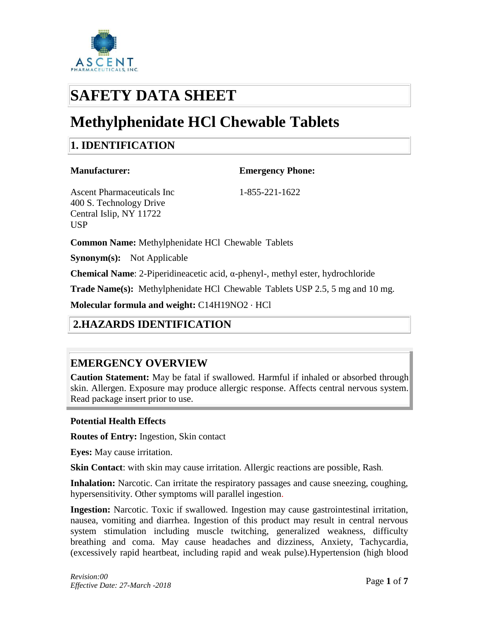

# **SAFETY DATA SHEET**

# **Methylphenidate HCl Chewable Tablets**

# **1. IDENTIFICATION**

# **Manufacturer: Emergency Phone:**

Ascent Pharmaceuticals Inc 1-855-221-1622 400 S. Technology Drive Central Islip, NY 11722 USP

**Common Name:** Methylphenidate HCl Chewable Tablets

**Synonym(s):** Not Applicable

**Chemical Name**: 2-Piperidineacetic acid, α-phenyl-, methyl ester, hydrochloride

**Trade Name(s):** Methylphenidate HCl Chewable Tablets USP 2.5, 5 mg and 10 mg.

**Molecular formula and weight:** C14H19NO2 ⋅ HCl

# **2.HAZARDS IDENTIFICATION**

#### **EMERGENCY OVERVIEW**

**Caution Statement:** May be fatal if swallowed. Harmful if inhaled or absorbed through skin. Allergen. Exposure may produce allergic response. Affects central nervous system. Read package insert prior to use.

#### **Potential Health Effects**

**Routes of Entry:** Ingestion, Skin contact

**Eyes:** May cause irritation.

**Skin Contact:** with skin may cause irritation. Allergic reactions are possible, Rash.

**Inhalation:** Narcotic. Can irritate the respiratory passages and cause sneezing, coughing, hypersensitivity. Other symptoms will parallel ingestion.

**Ingestion:** Narcotic. Toxic if swallowed. Ingestion may cause gastrointestinal irritation, nausea, vomiting and diarrhea. Ingestion of this product may result in central nervous system stimulation including muscle twitching, generalized weakness, difficulty breathing and coma. May cause headaches and dizziness, Anxiety, Tachycardia, (excessively rapid heartbeat, including rapid and weak pulse).Hypertension (high blood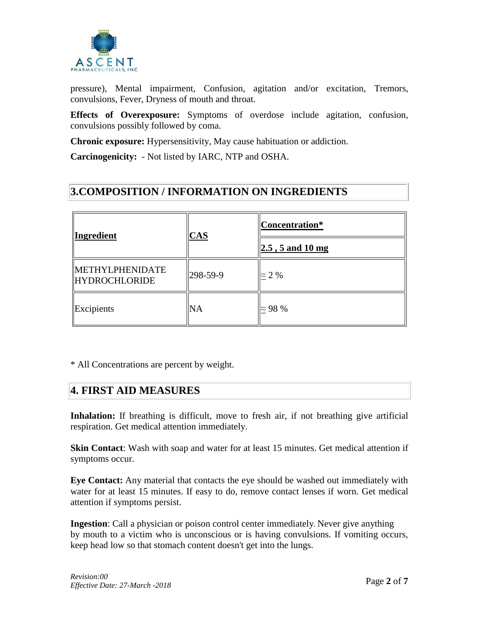

pressure), Mental impairment, Confusion, agitation and/or excitation, Tremors, convulsions, Fever, Dryness of mouth and throat.

**Effects of Overexposure:** Symptoms of overdose include agitation, confusion, convulsions possibly followed by coma.

**Chronic exposure:** Hypersensitivity, May cause habituation or addiction.

**Carcinogenicity:** - Not listed by IARC, NTP and OSHA.

#### **3.COMPOSITION / INFORMATION ON INGREDIENTS**

| <b>Ingredient</b>                              | $CAS$    | Concentration*<br>$ 2.5, 5 \text{ and } 10 \text{ mg} $ |
|------------------------------------------------|----------|---------------------------------------------------------|
| <b>METHYLPHENIDATE</b><br><b>HYDROCHLORIDE</b> | 298-59-9 | $\approx$ 2 %                                           |
| Excipients                                     | NA       | $\approx$ 98 %                                          |

\* All Concentrations are percent by weight.

#### **4. FIRST AID MEASURES**

Inhalation: If breathing is difficult, move to fresh air, if not breathing give artificial respiration. Get medical attention immediately.

**Skin Contact**: Wash with soap and water for at least 15 minutes. Get medical attention if symptoms occur.

**Eye Contact:** Any material that contacts the eye should be washed out immediately with water for at least 15 minutes. If easy to do, remove contact lenses if worn. Get medical attention if symptoms persist.

**Ingestion**: Call a physician or poison control center immediately. Never give anything by mouth to a victim who is unconscious or is having convulsions. If vomiting occurs, keep head low so that stomach content doesn't get into the lungs.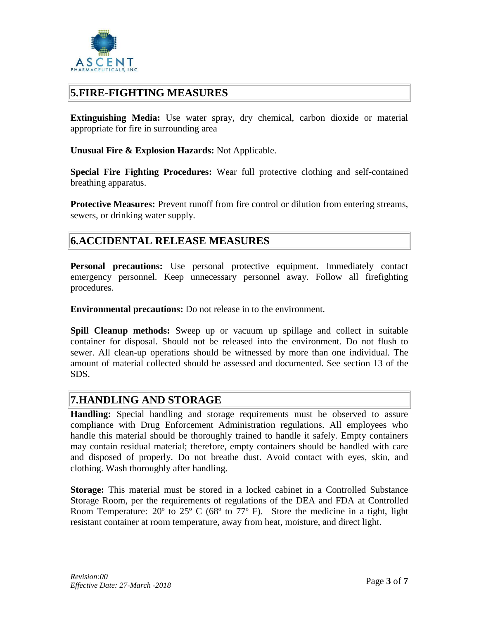

#### **5.FIRE-FIGHTING MEASURES**

**Extinguishing Media:** Use water spray, dry chemical, carbon dioxide or material appropriate for fire in surrounding area

**Unusual Fire & Explosion Hazards:** Not Applicable.

**Special Fire Fighting Procedures:** Wear full protective clothing and self-contained breathing apparatus.

**Protective Measures:** Prevent runoff from fire control or dilution from entering streams, sewers, or drinking water supply.

#### **6.ACCIDENTAL RELEASE MEASURES**

**Personal precautions:** Use personal protective equipment. Immediately contact emergency personnel. Keep unnecessary personnel away. Follow all firefighting procedures.

**Environmental precautions:** Do not release in to the environment.

**Spill Cleanup methods:** Sweep up or vacuum up spillage and collect in suitable container for disposal. Should not be released into the environment. Do not flush to sewer. All clean-up operations should be witnessed by more than one individual. The amount of material collected should be assessed and documented. See section 13 of the SDS.

#### **7.HANDLING AND STORAGE**

**Handling:** Special handling and storage requirements must be observed to assure compliance with Drug Enforcement Administration regulations. All employees who handle this material should be thoroughly trained to handle it safely. Empty containers may contain residual material; therefore, empty containers should be handled with care and disposed of properly. Do not breathe dust. Avoid contact with eyes, skin, and clothing. Wash thoroughly after handling.

**Storage:** This material must be stored in a locked cabinet in a Controlled Substance Storage Room, per the requirements of regulations of the DEA and FDA at Controlled Room Temperature:  $20^{\circ}$  to  $25^{\circ}$  C (68 $^{\circ}$  to 77 $^{\circ}$  F). Store the medicine in a tight, light resistant container at room temperature, away from heat, moisture, and direct light.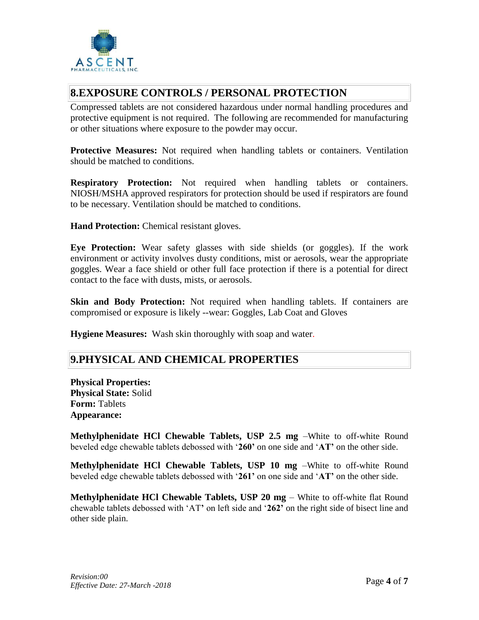

#### **8.EXPOSURE CONTROLS / PERSONAL PROTECTION**

Compressed tablets are not considered hazardous under normal handling procedures and protective equipment is not required. The following are recommended for manufacturing or other situations where exposure to the powder may occur.

**Protective Measures:** Not required when handling tablets or containers. Ventilation should be matched to conditions.

**Respiratory Protection:** Not required when handling tablets or containers. NIOSH/MSHA approved respirators for protection should be used if respirators are found to be necessary. Ventilation should be matched to conditions.

**Hand Protection:** Chemical resistant gloves.

**Eye Protection:** Wear safety glasses with side shields (or goggles). If the work environment or activity involves dusty conditions, mist or aerosols, wear the appropriate goggles. Wear a face shield or other full face protection if there is a potential for direct contact to the face with dusts, mists, or aerosols.

**Skin and Body Protection:** Not required when handling tablets. If containers are compromised or exposure is likely --wear: Goggles, Lab Coat and Gloves

**Hygiene Measures:** Wash skin thoroughly with soap and water.

#### **9.PHYSICAL AND CHEMICAL PROPERTIES**

**Physical Properties: Physical State:** Solid **Form:** Tablets **Appearance:**

**Methylphenidate HCl Chewable Tablets, USP 2.5 mg** –White to off-white Round beveled edge chewable tablets debossed with '**260'** on one side and '**AT'** on the other side.

**Methylphenidate HCl Chewable Tablets, USP 10 mg** –White to off-white Round beveled edge chewable tablets debossed with '**261'** on one side and '**AT'** on the other side.

**Methylphenidate HCl Chewable Tablets, USP 20 mg** – White to off-white flat Round chewable tablets debossed with 'AT**'** on left side and '**262'** on the right side of bisect line and other side plain.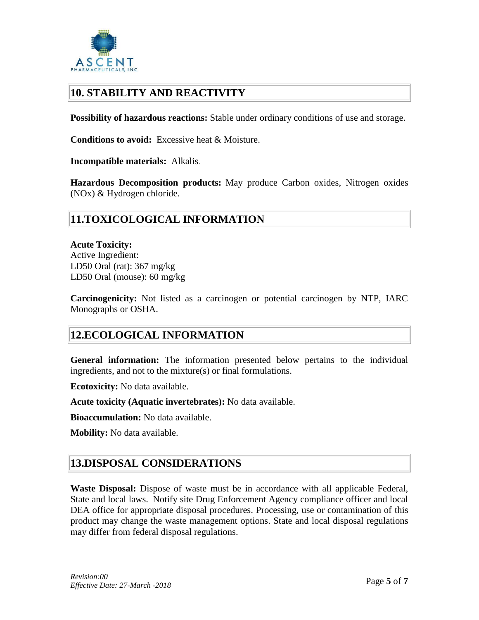

## **10. STABILITY AND REACTIVITY**

**Possibility of hazardous reactions:** Stable under ordinary conditions of use and storage.

**Conditions to avoid:** Excessive heat & Moisture.

**Incompatible materials:** Alkalis.

**Hazardous Decomposition products:** May produce Carbon oxides, Nitrogen oxides (NOx) & Hydrogen chloride.

## **11.TOXICOLOGICAL INFORMATION**

**Acute Toxicity:** Active Ingredient: LD50 Oral (rat): 367 mg/kg LD50 Oral (mouse): 60 mg/kg

**Carcinogenicity:** Not listed as a carcinogen or potential carcinogen by NTP, IARC Monographs or OSHA.

#### **12.ECOLOGICAL INFORMATION**

**General information:** The information presented below pertains to the individual ingredients, and not to the mixture(s) or final formulations.

**Ecotoxicity:** No data available.

**Acute toxicity (Aquatic invertebrates):** No data available.

**Bioaccumulation:** No data available.

**Mobility:** No data available.

#### **13.DISPOSAL CONSIDERATIONS**

**Waste Disposal:** Dispose of waste must be in accordance with all applicable Federal, State and local laws. Notify site Drug Enforcement Agency compliance officer and local DEA office for appropriate disposal procedures. Processing, use or contamination of this product may change the waste management options. State and local disposal regulations may differ from federal disposal regulations.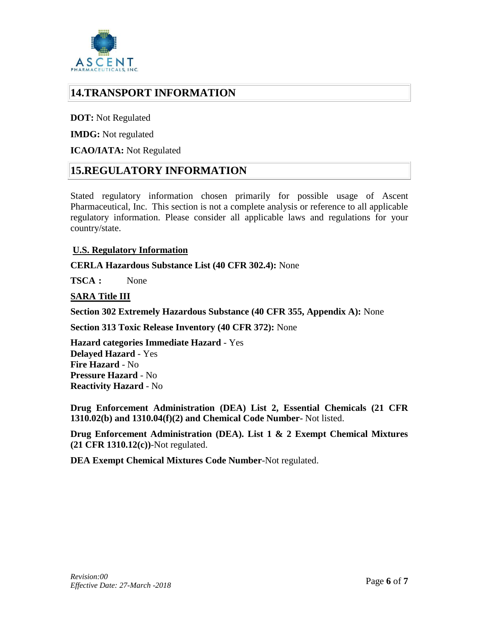

### **14.TRANSPORT INFORMATION**

**DOT:** Not Regulated

**IMDG:** Not regulated

#### **ICAO/IATA:** Not Regulated

#### **15.REGULATORY INFORMATION**

Stated regulatory information chosen primarily for possible usage of Ascent Pharmaceutical, Inc. This section is not a complete analysis or reference to all applicable regulatory information. Please consider all applicable laws and regulations for your country/state.

#### **U.S. Regulatory Information**

**CERLA Hazardous Substance List (40 CFR 302.4):** None

**TSCA :** None

#### **SARA Title III**

**Section 302 Extremely Hazardous Substance (40 CFR 355, Appendix A):** None

**Section 313 Toxic Release Inventory (40 CFR 372):** None

**Hazard categories Immediate Hazard** - Yes **Delayed Hazard** - Yes **Fire Hazard** - No **Pressure Hazard** - No **Reactivity Hazard** - No

**Drug Enforcement Administration (DEA) List 2, Essential Chemicals (21 CFR 1310.02(b) and 1310.04(f)(2) and Chemical Code Number-** Not listed.

**Drug Enforcement Administration (DEA). List 1 & 2 Exempt Chemical Mixtures (21 CFR 1310.12(c))**-Not regulated.

**DEA Exempt Chemical Mixtures Code Number**-Not regulated.